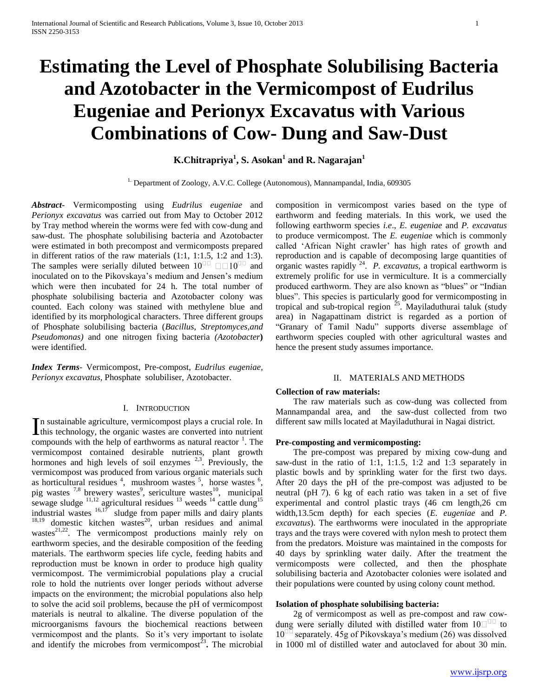# **Estimating the Level of Phosphate Solubilising Bacteria and Azotobacter in the Vermicompost of Eudrilus Eugeniae and Perionyx Excavatus with Various Combinations of Cow- Dung and Saw-Dust**

# **K.Chitrapriya<sup>1</sup> , S. Asokan<sup>1</sup> and R. Nagarajan<sup>1</sup>**

<sup>1.</sup> Department of Zoology, A.V.C. College (Autonomous), Mannampandal, India, 609305

*Abstract***-** Vermicomposting using *Eudrilus eugeniae* and *Perionyx excavatus* was carried out from May to October 2012 by Tray method wherein the worms were fed with cow-dung and saw-dust. The phosphate solubilising bacteria and Azotobacter were estimated in both precompost and vermicomposts prepared in different ratios of the raw materials (1:1, 1:1.5, 1:2 and 1:3). The samples were serially diluted between  $10^{\circ}$   $\Box$  $10^{\circ}$  and inoculated on to the Pikovskaya's medium and Jensen's medium which were then incubated for 24 h. The total number of phosphate solubilising bacteria and Azotobacter colony was counted. Each colony was stained with methylene blue and identified by its morphological characters. Three different groups of Phosphate solubilising bacteria (*Bacillus*, *Streptomyces,and Pseudomonas)* and one nitrogen fixing bacteria *(Azotobacter***)** were identified.

*Index Terms*- Vermicompost, Pre-compost, *Eudrilus eugeniae, Perionyx excavatus,* Phosphate solubiliser, Azotobacter.

#### I. INTRODUCTION

n sustainable agriculture, vermicompost plays a crucial role. In In sustainable agriculture, vermicompost plays a crucial role. In this technology, the organic wastes are converted into nutrient compounds with the help of earthworms as natural reactor  $<sup>1</sup>$ . The</sup> vermicompost contained desirable nutrients, plant growth hormones and high levels of soil enzymes  $2.3$ . Previously, the vermicompost was produced from various organic materials such as horticultural residues  $4$ , mushroom wastes  $5$ , horse wastes  $6$ , pig wastes  $7.8$  brewery wastes<sup>9</sup>, sericulture wastes<sup>10</sup>, municipal sewage sludge  $^{11,12}$  agricultural residues  $^{13}$  weeds  $^{14}$  cattle dung<sup>15</sup> industrial wastes  $16,17$  sludge from paper mills and dairy plants  $18,19$  domestic kitchen wastes<sup>20</sup>, urban residues and animal wastes $^{21,22}$ . The vermicompost productions mainly rely on earthworm species, and the desirable composition of the feeding materials. The earthworm species life cycle, feeding habits and reproduction must be known in order to produce high quality vermicompost. The vermimicrobial populations play a crucial role to hold the nutrients over longer periods without adverse impacts on the environment; the microbial populations also help to solve the acid soil problems, because the pH of vermicompost materials is neutral to alkaline. The diverse population of the microorganisms favours the biochemical reactions between vermicompost and the plants. So it's very important to isolate and identify the microbes from vermicompost<sup>23</sup>. The microbial composition in vermicompost varies based on the type of earthworm and feeding materials. In this work, we used the following earthworm species *i.e*., *E. eugeniae* and *P. excavatus* to produce vermicompost. The *E. eugeniae* which is commonly called 'African Night crawler' has high rates of growth and reproduction and is capable of decomposing large quantities of organic wastes rapidly <sup>24</sup> . *P. excavatus,* a tropical earthworm is extremely prolific for use in vermiculture. It is a commercially produced earthworm. They are also known as "blues" or "Indian blues". This species is particularly good for vermicomposting in tropical and sub-tropical region  $^{25}$ . Mayiladuthurai taluk (study area) in Nagapattinam district is regarded as a portion of "Granary of Tamil Nadu" supports diverse assemblage of earthworm species coupled with other agricultural wastes and hence the present study assumes importance.

#### II. MATERIALS AND METHODS

# **Collection of raw materials:**

 The raw materials such as cow-dung was collected from Mannampandal area, and the saw-dust collected from two different saw mills located at Mayiladuthurai in Nagai district.

## **Pre-composting and vermicomposting:**

 The pre-compost was prepared by mixing cow-dung and saw-dust in the ratio of 1:1, 1:1.5, 1:2 and 1:3 separately in plastic bowls and by sprinkling water for the first two days. After 20 days the pH of the pre-compost was adjusted to be neutral (pH 7). 6 kg of each ratio was taken in a set of five experimental and control plastic trays (46 cm length,26 cm width,13.5cm depth) for each species (*E. eugeniae* and *P. excavatus*). The earthworms were inoculated in the appropriate trays and the trays were covered with nylon mesh to protect them from the predators. Moisture was maintained in the composts for 40 days by sprinkling water daily. After the treatment the vermicomposts were collected, and then the phosphate solubilising bacteria and Azotobacter colonies were isolated and their populations were counted by using colony count method.

# **Isolation of phosphate solubilising bacteria:**

 2g of vermicompost as well as pre-compost and raw cowdung were serially diluted with distilled water from  $10\degree$  to  $10^{\text{III}}$  separately. 45g of Pikovskaya's medium (26) was dissolved in 1000 ml of distilled water and autoclaved for about 30 min.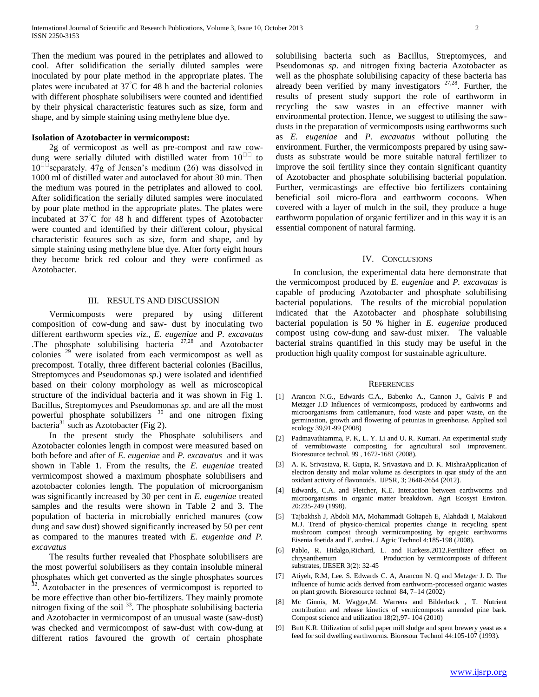Then the medium was poured in the petriplates and allowed to cool. After solidification the serially diluted samples were inoculated by pour plate method in the appropriate plates. The plates were incubated at  $37^{\circ}$ C for 48 h and the bacterial colonies with different phosphate solubilisers were counted and identified by their physical characteristic features such as size, form and shape, and by simple staining using methylene blue dye.

# **Isolation of Azotobacter in vermicompost:**

 2g of vermicopost as well as pre-compost and raw cowdung were serially diluted with distilled water from  $10^{\text{III}}$  to  $10^{11}$  separately. 47g of Jensen's medium (26) was dissolved in 1000 ml of distilled water and autoclaved for about 30 min. Then the medium was poured in the petriplates and allowed to cool. After solidification the serially diluted samples were inoculated by pour plate method in the appropriate plates. The plates were incubated at  $37^{\circ}$ C for 48 h and different types of Azotobacter were counted and identified by their different colour, physical characteristic features such as size, form and shape, and by simple staining using methylene blue dye. After forty eight hours they become brick red colour and they were confirmed as Azotobacter.

## III. RESULTS AND DISCUSSION

 Vermicomposts were prepared by using different composition of cow-dung and saw- dust by inoculating two different earthworm species *viz*., *E. eugeniae* and *P. excavatus* .The phosphate solubilising bacteria 27,28 and Azotobacter colonies <sup>29</sup> were isolated from each vermicompost as well as precompost. Totally, three different bacterial colonies (Bacillus, Streptomyces and Pseudomonas *sp*.) were isolated and identified based on their colony morphology as well as microscopical structure of the individual bacteria and it was shown in Fig 1. Bacillus, Streptomyces and Pseudomonas *sp*. and are all the most powerful phosphate solubilizers <sup>30</sup> and one nitrogen fixing bacteria<sup>31</sup> such as Azotobacter (Fig 2).

 In the present study the Phosphate solubilisers and Azotobacter colonies length in compost were measured based on both before and after of *E. eugeniae* and *P. excavatus* and it was shown in Table 1. From the results, the *E. eugeniae* treated vermicompost showed a maximum phosphate solubilisers and azotobacter colonies length. The population of microorganism was significantly increased by 30 per cent in *E. eugeniae* treated samples and the results were shown in Table 2 and 3. The population of bacteria in microbially enriched manures (cow dung and saw dust) showed significantly increased by 50 per cent as compared to the manures treated with *E. eugeniae and P. excavatus*

 The results further revealed that Phosphate solubilisers are the most powerful solubilisers as they contain insoluble mineral phosphates which get converted as the single phosphates sources <sup>32</sup>. Azotobacter in the presences of vermicompost is reported to be more effective than other bio-fertilizers. They mainly promote nitrogen fixing of the soil<sup>33</sup>. The phosphate solubilising bacteria and Azotobacter in vermicompost of an unusual waste (saw-dust) was checked and vermicompost of saw-dust with cow-dung at different ratios favoured the growth of certain phosphate

solubilising bacteria such as Bacillus, Streptomyces, and Pseudomonas *sp*. and nitrogen fixing bacteria Azotobacter as well as the phosphate solubilising capacity of these bacteria has already been verified by many investigators  $27,28$ . Further, the results of present study support the role of earthworm in recycling the saw wastes in an effective manner with environmental protection. Hence, we suggest to utilising the sawdusts in the preparation of vermicomposts using earthworms such as *E. eugeniae* and *P. excavatus* without polluting the environment. Further, the vermicomposts prepared by using sawdusts as substrate would be more suitable natural fertilizer to improve the soil fertility since they contain significant quantity of Azotobacter and phosphate solubilising bacterial population. Further, vermicastings are effective bio–fertilizers containing beneficial soil micro-flora and earthworm cocoons. When covered with a layer of mulch in the soil, they produce a huge earthworm population of organic fertilizer and in this way it is an essential component of natural farming.

#### IV. CONCLUSIONS

 In conclusion, the experimental data here demonstrate that the vermicompost produced by *E. eugeniae* and *P. excavatus* is capable of producing Azotobacter and phosphate solubilising bacterial populations. The results of the microbial population indicated that the Azotobacter and phosphate solubilising bacterial population is 50 % higher in *E. eugeniae* produced compost using cow-dung and saw-dust mixer*.* The valuable bacterial strains quantified in this study may be useful in the production high quality compost for sustainable agriculture.

#### **REFERENCES**

- [1] Arancon N.G., Edwards C.A., Babenko A., Cannon J., Galvis P and Metzger J.D Influences of vermicomposts, produced by earthworms and microorganisms from cattlemanure, food waste and paper waste, on the germination, growth and flowering of petunias in greenhouse. Applied soil ecology 39,91-99 (2008)
- [2] Padmavathiamma, P. K, L. Y. Li and U. R. Kumari. An experimental study of vermibiowaste composting for agricultural soil improvement. Bioresource technol. 99 , 1672-1681 (2008).
- [3] A. K. Srivastava, R. Gupta, R. Srivastava and D. K. MishraApplication of electron density and molar volume as descriptors in qsar study of the anti oxidant activity of flavonoids. IJPSR, 3; 2648-2654 (2012).
- [4] Edwards, C.A. and Fletcher, K.E. Interaction between earthworms and microorganisms in organic matter breakdown. Agri Ecosyst Environ. 20:235-249 (1998).
- [5] Tajbakhsh J, Abdoli MA, Mohammadi Goltapeh E, Alahdadi I, Malakouti M.J. Trend of physico-chemical properties change in recycling spent mushroom compost through vermicomposting by epigeic earthworms Eisenia foetida and E. andrei. J Agric Technol 4:185-198 (2008).
- [6] Pablo, R. Hidalgo,Richard, L. and Harkess.2012.Fertilizer effect on Production by vermicomposts of different substrates, IJESER 3(2): 32-45
- [7] Atiyeh, R.M, Lee. S. Edwards C. A, Arancon N. Q and Metzger J. D. The influence of humic acids derived from earthworm-processed organic wastes on plant growth. Bioresource technol 84, 7–14 (2002)
- [8] Mc Ginnis, M. Wagger,M. Warrens and Bilderback , T. Nutrient contribution and release kinetics of vermicomposts amended pine bark. Compost science and utilization 18(2),97- 104 (2010)
- [9] Butt K.R. Utilization of solid paper mill sludge and spent brewery yeast as a feed for soil dwelling earthworms. Bioresour Technol 44:105-107 (1993).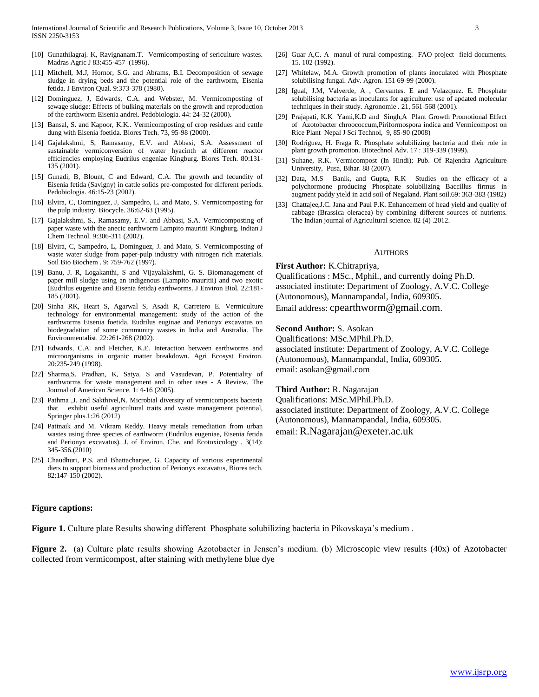- [10] Gunathilagraj. K, Ravignanam.T. Vermicomposting of sericulture wastes. Madras Agric J 83:455-457 (1996).
- [11] Mitchell, M.J, Hornor, S.G. and Abrams, B.I. Decomposition of sewage sludge in drying beds and the potential role of the earthworm, Eisenia fetida. J Environ Qual. 9:373-378 (1980).
- [12] Dominguez, J, Edwards, C.A. and Webster, M. Vermicomposting of sewage sludge: Effects of bulking materials on the growth and reproduction of the earthworm Eisenia andrei. Pedobiologia. 44: 24-32 (2000).
- [13] Bansal, S. and Kapoor, K.K.. Vermicomposting of crop residues and cattle dung with Eisenia foetida. Biores Tech. 73, 95-98 (2000).
- [14] Gajalakshmi, S, Ramasamy, E.V. and Abbasi, S.A. Assessment of sustainable vermiconversion of water hyacinth at different reactor efficiencies employing Eudrilus engeniae Kingburg. Biores Tech. 80:131- 135 (2001).
- [15] Gunadi, B, Blount, C and Edward, C.A. The growth and fecundity of Eisenia fetida (Savigny) in cattle solids pre-composted for different periods. Pedobiologia. 46:15-23 (2002).
- [16] Elvira, C, Dominguez, J, Sampedro, L. and Mato, S. Vermicomposting for the pulp industry. Biocycle. 36:62-63 (1995).
- [17] Gajalakshmi, S., Ramasamy, E.V. and Abbasi, S.A. Vermicomposting of paper waste with the anecic earthworm Lampito mauritii Kingburg. Indian J Chem Technol. 9:306-311 (2002).
- [18] Elvira, C, Sampedro, L, Dominguez, J. and Mato, S. Vermicomposting of waste water sludge from paper-pulp industry with nitrogen rich materials. Soil Bio Biochem . 9: 759-762 (1997).
- [19] Banu, J. R, Logakanthi, S and Vijayalakshmi, G. S. Biomanagement of paper mill sludge using an indigenous (Lampito mauritii) and two exotic (Eudrilus eugeniae and Eisenia fetida) earthworms. J Environ Biol. 22:181- 185 (2001).
- [20] Sinha RK, Heart S, Agarwal S, Asadi R, Carretero E. Vermiculture technology for environmental management: study of the action of the earthworms Eisenia foetida, Eudrilus euginae and Perionyx excavatus on biodegradation of some community wastes in India and Australia. The Environmentalist. 22:261-268 (2002).
- [21] Edwards, C.A. and Fletcher, K.E. Interaction between earthworms and microorganisms in organic matter breakdown. Agri Ecosyst Environ. 20:235-249 (1998).
- [22] Sharma,S. Pradhan, K, Satya, S and Vasudevan, P. Potentiality of earthworms for waste management and in other uses - A Review. The Journal of American Science. 1: 4-16 (2005).
- [23] Pathma ,J. and Sakthivel,N. Microbial diversity of vermicomposts bacteria that exhibit useful agricultural traits and waste management potential, Springer plus.1:26 (2012)
- [24] Pattnaik and M. Vikram Reddy. Heavy metals remediation from urban wastes using three species of earthworm (Eudrilus eugeniae, Eisenia fetida and Perionyx excavatus). J. of Environ. Che. and Ecotoxicology . 3(14): 345-356.(2010)
- [25] Chaudhuri, P.S. and Bhattacharjee, G. Capacity of various experimental diets to support biomass and production of Perionyx excavatus, Biores tech. 82:147-150 (2002).

# **Figure captions:**

[26] Guar A,C. A manul of rural composting. FAO project field documents. 15. 102 (1992).

- [27] Whitelaw, M.A. Growth promotion of plants inoculated with Phosphate solubilising fungai. Adv. Agron. 151 69-99 (2000).
- [28] Igual, J.M, Valverde, A, Cervantes. E and Velazquez. E. Phosphate solubilising bacteria as inoculants for agriculture: use of apdated molecular techniques in their study. Agronomie . 21, 561-568 (2001).
- [29] Prajapati, K.K Yami,K.D and Singh,A Plant Growth Promotional Effect of Azotobacter chroococcum,Piriformospora indica and Vermicompost on Rice Plant Nepal J Sci Technol, 9, 85-90 (2008)
- [30] Rodriguez, H. Fraga R. Phosphate solubilizing bacteria and their role in plant growth promotion. Biotechnol Adv. 17 : 319-339 (1999).
- [31] Suhane, R.K. Vermicompost (In Hindi); Pub. Of Rajendra Agriculture University, Pusa, Bihar. 88 (2007).
- [32] Data, M.S Banik, and Gupta, R.K Studies on the efficacy of a polychormone producing Phosphate solubilizing Baccillus firmus in augment paddy yield in acid soil of Negaland. Plant soil.69: 363-383 (1982)
- [33] Chattajee, J.C. Jana and Paul P.K. Enhancement of head yield and quality of cabbage (Brassica oleracea) by combining different sources of nutrients. The Indian journal of Agricultural science. 82 (4) .2012.

#### AUTHORS

#### **First Author:** K.Chitrapriya,

Qualifications : MSc., Mphil., and currently doing Ph.D. associated institute: Department of Zoology, A.V.C. College (Autonomous), Mannampandal, India, 609305. Email address: [cpearthworm@gmail.com](mailto:cpearthworm@gmail.com).

#### **Second Author:** S. Asokan

Qualifications: MSc.MPhil.Ph.D.

associated institute: Department of Zoology, A.V.C. College (Autonomous), Mannampandal, India, 609305. email[: asokan@gmail.com](mailto:asokan@gmail.com)

#### **Third Author:** R. Nagarajan

Qualifications: MSc.MPhil.Ph.D. associated institute: Department of Zoology, A.V.C. College (Autonomous), Mannampandal, India, 609305. email: [R.Nagarajan@exeter.ac.uk](mailto:R.Nagarajan@exeter.ac.uk)

**Figure 1.** Culture plate Results showing different Phosphate solubilizing bacteria in Pikovskaya's medium .

**Figure 2.** (a) Culture plate results showing Azotobacter in Jensen's medium. (b) Microscopic view results (40x) of Azotobacter collected from vermicompost, after staining with methylene blue dye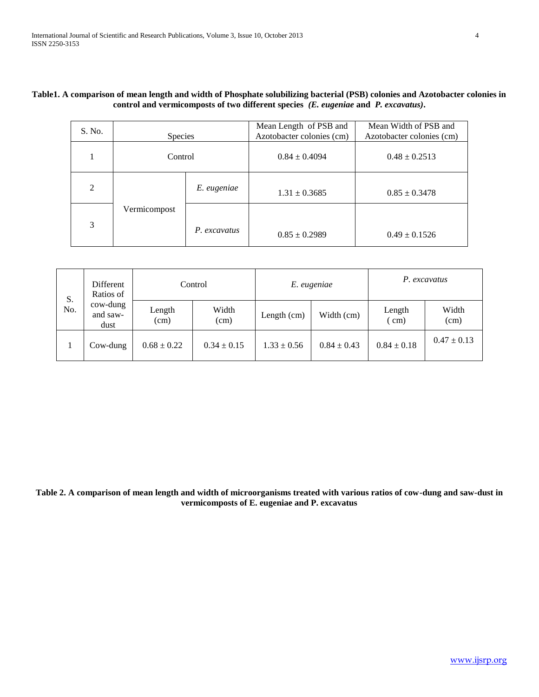| S. No.         | <b>Species</b> |              | Mean Length of PSB and<br>Azotobacter colonies (cm) | Mean Width of PSB and<br>Azotobacter colonies (cm) |  |
|----------------|----------------|--------------|-----------------------------------------------------|----------------------------------------------------|--|
|                | Control        |              | $0.84 \pm 0.4094$                                   | $0.48 \pm 0.2513$                                  |  |
| $\overline{2}$ |                | E. eugeniae  | $1.31 \pm 0.3685$                                   | $0.85 \pm 0.3478$                                  |  |
| 3              | Vermicompost   | P. excavatus | $0.85 \pm 0.2989$                                   | $0.49 \pm 0.1526$                                  |  |

# **Table1. A comparison of mean length and width of Phosphate solubilizing bacterial (PSB) colonies and Azotobacter colonies in control and vermicomposts of two different species** *(E. eugeniae* **and** *P. excavatus)***.**

| S.<br>No. | Different<br>Ratios of<br>cow-dung<br>and saw-<br>dust | Control         |                 | E. eugeniae     |                 | P. excavatus        |                 |
|-----------|--------------------------------------------------------|-----------------|-----------------|-----------------|-----------------|---------------------|-----------------|
|           |                                                        | Length<br>(cm)  | Width<br>(cm)   | Length $(cm)$   | Width (cm)      | Length<br>$\rm cm)$ | Width<br>(cm)   |
|           | $Cow-dung$                                             | $0.68 \pm 0.22$ | $0.34 \pm 0.15$ | $1.33 \pm 0.56$ | $0.84 \pm 0.43$ | $0.84 \pm 0.18$     | $0.47 \pm 0.13$ |

**Table 2. A comparison of mean length and width of microorganisms treated with various ratios of cow-dung and saw-dust in vermicomposts of E. eugeniae and P. excavatus**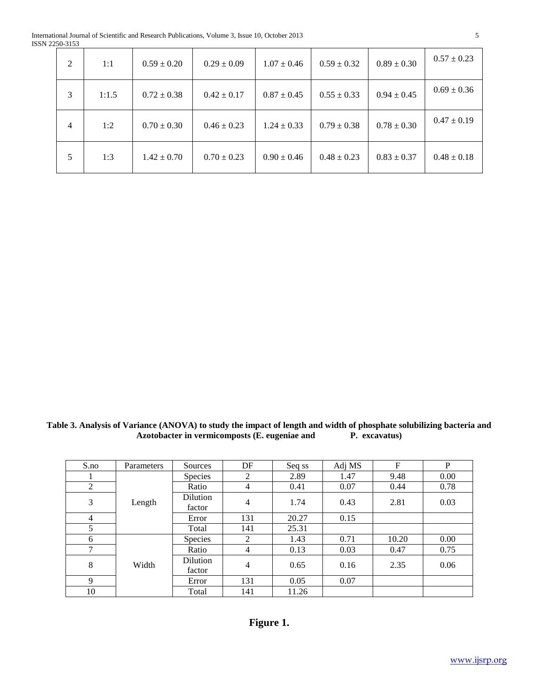| $\overline{2}$ | 1:1   | $0.59 \pm 0.20$ | $0.29 \pm 0.09$ | $1.07 \pm 0.46$ | $0.59 \pm 0.32$ | $0.89 \pm 0.30$ | $0.57 \pm 0.23$ |
|----------------|-------|-----------------|-----------------|-----------------|-----------------|-----------------|-----------------|
| 3              | 1:1.5 | $0.72 \pm 0.38$ | $0.42 \pm 0.17$ | $0.87 \pm 0.45$ | $0.55 \pm 0.33$ | $0.94 \pm 0.45$ | $0.69 \pm 0.36$ |
| $\overline{4}$ | 1:2   | $0.70 \pm 0.30$ | $0.46 \pm 0.23$ | $1.24 \pm 0.33$ | $0.79 \pm 0.38$ | $0.78 \pm 0.30$ | $0.47 \pm 0.19$ |
| 5              | 1:3   | $1.42 \pm 0.70$ | $0.70 \pm 0.23$ | $0.90 \pm 0.46$ | $0.48 \pm 0.23$ | $0.83 \pm 0.37$ | $0.48 \pm 0.18$ |

**Table 3. Analysis of Variance (ANOVA) to study the impact of length and width of phosphate solubilizing bacteria and**  Azotobacter in vermicomposts (E. eugeniae and

| S.no           | Parameters | Sources            | DF             | Seq ss | Adj MS | F     | P    |
|----------------|------------|--------------------|----------------|--------|--------|-------|------|
|                | Length     | Species            | $\overline{2}$ | 2.89   | 1.47   | 9.48  | 0.00 |
| $\overline{c}$ |            | Ratio              | 4              | 0.41   | 0.07   | 0.44  | 0.78 |
| 3              |            | Dilution<br>factor | 4              | 1.74   | 0.43   | 2.81  | 0.03 |
| $\overline{4}$ |            | Error              | 131            | 20.27  | 0.15   |       |      |
| 5              |            | Total              | 141            | 25.31  |        |       |      |
| 6              | Width      | <b>Species</b>     | 2              | 1.43   | 0.71   | 10.20 | 0.00 |
| 7              |            | Ratio              | 4              | 0.13   | 0.03   | 0.47  | 0.75 |
| 8              |            | Dilution<br>factor | 4              | 0.65   | 0.16   | 2.35  | 0.06 |
| 9              |            | Error              | 131            | 0.05   | 0.07   |       |      |
| 10             |            | Total              | 141            | 11.26  |        |       |      |